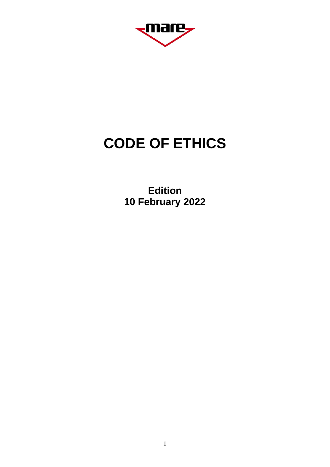<sub>s</sub>mare,

# **CODE OF ETHICS**

**Edition 10 February 2022**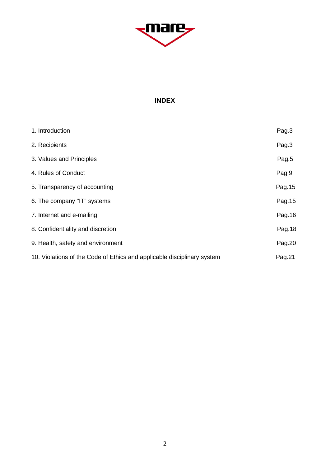

# **INDEX**

| 1. Introduction                                                         | Pag.3   |
|-------------------------------------------------------------------------|---------|
| 2. Recipients                                                           | Pag.3   |
| 3. Values and Principles                                                | Pag.5   |
| 4. Rules of Conduct                                                     | Pag.9   |
| 5. Transparency of accounting                                           | Pag. 15 |
| 6. The company "IT" systems                                             | Pag. 15 |
| 7. Internet and e-mailing                                               | Pag. 16 |
| 8. Confidentiality and discretion                                       | Pag.18  |
| 9. Health, safety and environment                                       | Pag.20  |
| 10. Violations of the Code of Ethics and applicable disciplinary system | Pag.21  |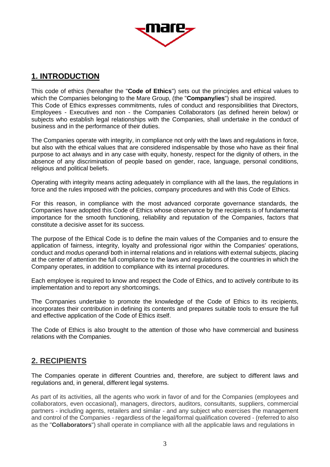

# **1. INTRODUCTION**

This code of ethics (hereafter the "**Code of Ethics**") sets out the principles and ethical values to which the Companies belonging to the Mare Group, (the "**Company/ies**") shall be inspired. This Code of Ethics expresses commitments, rules of conduct and responsibilities that Directors, Employees - Executives and non - the Companies Collaborators (as defined herein below) or subjects who establish legal relationships with the Companies, shall undertake in the conduct of business and in the performance of their duties.

The Companies operate with integrity, in compliance not only with the laws and regulations in force, but also with the ethical values that are considered indispensable by those who have as their final purpose to act always and in any case with equity, honesty, respect for the dignity of others, in the absence of any discrimination of people based on gender, race, language, personal conditions, religious and political beliefs.

Operating with integrity means acting adequately in compliance with all the laws, the regulations in force and the rules imposed with the policies, company procedures and with this Code of Ethics.

For this reason, in compliance with the most advanced corporate governance standards, the Companies have adopted this Code of Ethics whose observance by the recipients is of fundamental importance for the smooth functioning, reliability and reputation of the Companies, factors that constitute a decisive asset for its success.

The purpose of the Ethical Code is to define the main values of the Companies and to ensure the application of fairness, integrity, loyalty and professional rigor within the Companies' operations, conduct and *modus operandi* both in internal relations and in relations with external subjects, placing at the center of attention the full compliance to the laws and regulations of the countries in which the Company operates, in addition to compliance with its internal procedures.

Each employee is required to know and respect the Code of Ethics, and to actively contribute to its implementation and to report any shortcomings.

The Companies undertake to promote the knowledge of the Code of Ethics to its recipients, incorporates their contribution in defining its contents and prepares suitable tools to ensure the full and effective application of the Code of Ethics itself.

The Code of Ethics is also brought to the attention of those who have commercial and business relations with the Companies.

# **2. RECIPIENTS**

The Companies operate in different Countries and, therefore, are subject to different laws and regulations and, in general, different legal systems.

As part of its activities, all the agents who work in favor of and for the Companies (employees and collaborators, even occasional), managers, directors, auditors, consultants, suppliers, commercial partners - including agents, retailers and similar - and any subject who exercises the management and control of the Companies - regardless of the legal/formal qualification covered - (referred to also as the "**Collaborators**") shall operate in compliance with all the applicable laws and regulations in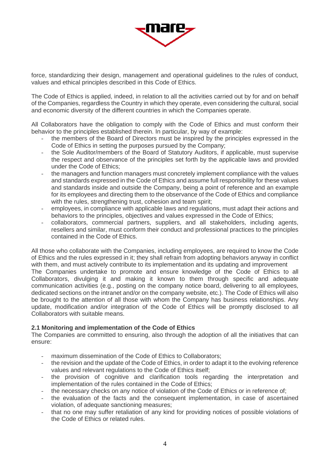

force, standardizing their design, management and operational guidelines to the rules of conduct, values and ethical principles described in this Code of Ethics.

The Code of Ethics is applied, indeed, in relation to all the activities carried out by for and on behalf of the Companies, regardless the Country in which they operate, even considering the cultural, social and economic diversity of the different countries in which the Companies operate.

All Collaborators have the obligation to comply with the Code of Ethics and must conform their behavior to the principles established therein. In particular, by way of example:

- the members of the Board of Directors must be inspired by the principles expressed in the Code of Ethics in setting the purposes pursued by the Company;
- the Sole Auditor/members of the Board of Statutory Auditors, if applicable, must supervise the respect and observance of the principles set forth by the applicable laws and provided under the Code of Ethics;
- the managers and function managers must concretely implement compliance with the values and standards expressed in the Code of Ethics and assume full responsibility for these values and standards inside and outside the Company, being a point of reference and an example for its employees and directing them to the observance of the Code of Ethics and compliance with the rules, strengthening trust, cohesion and team spirit;
- employees, in compliance with applicable laws and regulations, must adapt their actions and behaviors to the principles, objectives and values expressed in the Code of Ethics;
- collaborators, commercial partners, suppliers, and all stakeholders, including agents, resellers and similar, must conform their conduct and professional practices to the principles contained in the Code of Ethics.

All those who collaborate with the Companies, including employees, are required to know the Code of Ethics and the rules expressed in it; they shall refrain from adopting behaviors anyway in conflict with them, and must actively contribute to its implementation and its updating and improvement The Companies undertake to promote and ensure knowledge of the Code of Ethics to all Collaborators, divulging it and making it known to them through specific and adequate communication activities (e.g., posting on the company notice board, delivering to all employees, dedicated sections on the intranet and/or on the company website, etc.). The Code of Ethics will also be brought to the attention of all those with whom the Company has business relationships. Any update, modification and/or integration of the Code of Ethics will be promptly disclosed to all Collaborators with suitable means.

# **2.1 Monitoring and implementation of the Code of Ethics**

The Companies are committed to ensuring, also through the adoption of all the initiatives that can ensure:

- maximum dissemination of the Code of Ethics to Collaborators:
- the revision and the update of the Code of Ethics, in order to adapt it to the evolving reference values and relevant regulations to the Code of Ethics itself;
- the provision of cognitive and clarification tools regarding the interpretation and implementation of the rules contained in the Code of Ethics;
- the necessary checks on any notice of violation of the Code of Ethics or in reference of;
- the evaluation of the facts and the consequent implementation, in case of ascertained violation, of adequate sanctioning measures;
- that no one may suffer retaliation of any kind for providing notices of possible violations of the Code of Ethics or related rules.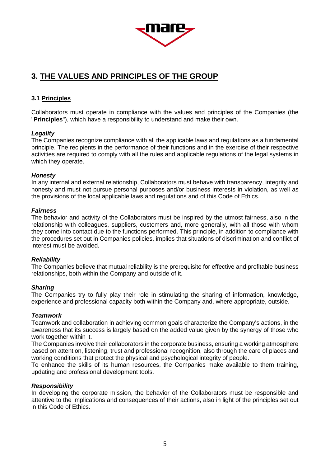

# **3. THE VALUES AND PRINCIPLES OF THE GROUP**

# **3.1 Principles**

Collaborators must operate in compliance with the values and principles of the Companies (the "**Principles**"), which have a responsibility to understand and make their own.

# *Legality*

The Companies recognize compliance with all the applicable laws and regulations as a fundamental principle. The recipients in the performance of their functions and in the exercise of their respective activities are required to comply with all the rules and applicable regulations of the legal systems in which they operate.

# *Honesty*

In any internal and external relationship, Collaborators must behave with transparency, integrity and honesty and must not pursue personal purposes and/or business interests in violation, as well as the provisions of the local applicable laws and regulations and of this Code of Ethics.

# *Fairness*

The behavior and activity of the Collaborators must be inspired by the utmost fairness, also in the relationship with colleagues, suppliers, customers and, more generally, with all those with whom they come into contact due to the functions performed. This principle, in addition to compliance with the procedures set out in Companies policies, implies that situations of discrimination and conflict of interest must be avoided.

# *Reliability*

The Companies believe that mutual reliability is the prerequisite for effective and profitable business relationships, both within the Company and outside of it.

# *Sharing*

The Companies try to fully play their role in stimulating the sharing of information, knowledge, experience and professional capacity both within the Company and, where appropriate, outside.

#### *Teamwork*

Teamwork and collaboration in achieving common goals characterize the Company's actions, in the awareness that its success is largely based on the added value given by the synergy of those who work together within it.

The Companies involve their collaborators in the corporate business, ensuring a working atmosphere based on attention, listening, trust and professional recognition, also through the care of places and working conditions that protect the physical and psychological integrity of people.

To enhance the skills of its human resources, the Companies make available to them training, updating and professional development tools.

# *Responsibility*

In developing the corporate mission, the behavior of the Collaborators must be responsible and attentive to the implications and consequences of their actions, also in light of the principles set out in this Code of Ethics.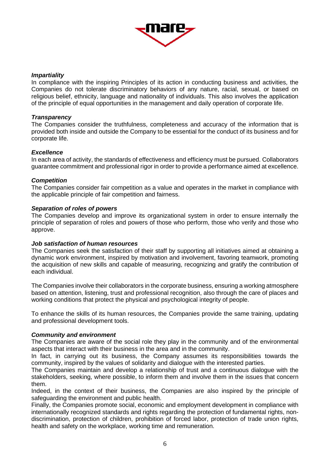

#### *Impartiality*

In compliance with the inspiring Principles of its action in conducting business and activities, the Companies do not tolerate discriminatory behaviors of any nature, racial, sexual, or based on religious belief, ethnicity, language and nationality of individuals. This also involves the application of the principle of equal opportunities in the management and daily operation of corporate life.

#### *Transparency*

The Companies consider the truthfulness, completeness and accuracy of the information that is provided both inside and outside the Company to be essential for the conduct of its business and for corporate life.

#### *Excellence*

In each area of activity, the standards of effectiveness and efficiency must be pursued. Collaborators guarantee commitment and professional rigor in order to provide a performance aimed at excellence.

#### *Competition*

The Companies consider fair competition as a value and operates in the market in compliance with the applicable principle of fair competition and fairness.

#### *Separation of roles of powers*

The Companies develop and improve its organizational system in order to ensure internally the principle of separation of roles and powers of those who perform, those who verify and those who approve.

#### *Job satisfaction of human resources*

The Companies seek the satisfaction of their staff by supporting all initiatives aimed at obtaining a dynamic work environment, inspired by motivation and involvement, favoring teamwork, promoting the acquisition of new skills and capable of measuring, recognizing and gratify the contribution of each individual.

The Companies involve their collaborators in the corporate business, ensuring a working atmosphere based on attention, listening, trust and professional recognition, also through the care of places and working conditions that protect the physical and psychological integrity of people.

To enhance the skills of its human resources, the Companies provide the same training, updating and professional development tools.

#### *Community and environment*

The Companies are aware of the social role they play in the community and of the environmental aspects that interact with their business in the area and in the community.

In fact, in carrying out its business, the Company assumes its responsibilities towards the community, inspired by the values of solidarity and dialogue with the interested parties.

The Companies maintain and develop a relationship of trust and a continuous dialogue with the stakeholders, seeking, where possible, to inform them and involve them in the issues that concern them.

Indeed, in the context of their business, the Companies are also inspired by the principle of safeguarding the environment and public health.

Finally, the Companies promote social, economic and employment development in compliance with internationally recognized standards and rights regarding the protection of fundamental rights, nondiscrimination, protection of children, prohibition of forced labor, protection of trade union rights, health and safety on the workplace, working time and remuneration.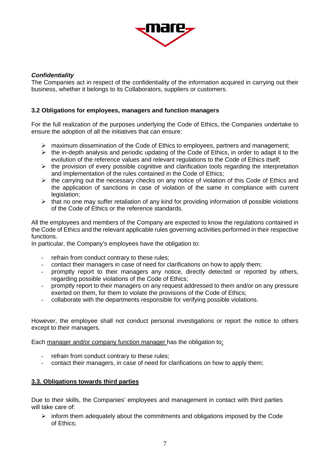

# *Confidentiality*

The Companies act in respect of the confidentiality of the information acquired in carrying out their business, whether it belongs to its Collaborators, suppliers or customers.

# **3.2 Obligations for employees, managers and function managers**

For the full realization of the purposes underlying the Code of Ethics, the Companies undertake to ensure the adoption of all the initiatives that can ensure:

- $\triangleright$  maximum dissemination of the Code of Ethics to employees, partners and management;
- $\triangleright$  the in-depth analysis and periodic updating of the Code of Ethics, in order to adapt it to the evolution of the reference values and relevant regulations to the Code of Ethics itself;
- $\triangleright$  the provision of every possible cognitive and clarification tools regarding the interpretation and implementation of the rules contained in the Code of Ethics;
- $\triangleright$  the carrying out the necessary checks on any notice of violation of this Code of Ethics and the application of sanctions in case of violation of the same in compliance with current legislation:
- $\triangleright$  that no one may suffer retaliation of any kind for providing information of possible violations of the Code of Ethics or the reference standards.

All the employees and members of the Company are expected to know the regulations contained in the Code of Ethics and the relevant applicable rules governing activities performed in their respective functions.

In particular, the Company's employees have the obligation to:

- refrain from conduct contrary to these rules;
- contact their managers in case of need for clarifications on how to apply them;
- promptly report to their managers any notice, directly detected or reported by others, regarding possible violations of the Code of Ethics;
- promptly report to their managers on any request addressed to them and/or on any pressure exerted on them, for them to violate the provisions of the Code of Ethics;
- collaborate with the departments responsible for verifying possible violations.

However, the employee shall not conduct personal investigations or report the notice to others except to their managers.

Each manager and/or company function manager has the obligation to:

- refrain from conduct contrary to these rules;
- contact their managers, in case of need for clarifications on how to apply them;

# **3.3. Obligations towards third parties**

Due to their skills, the Companies' employees and management in contact with third parties will take care of:

 $\triangleright$  inform them adequately about the commitments and obligations imposed by the Code of Ethics;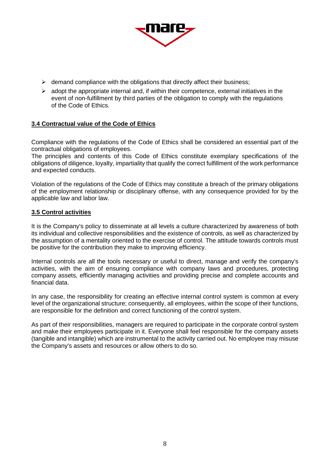

- $\triangleright$  demand compliance with the obligations that directly affect their business;
- $\triangleright$  adopt the appropriate internal and, if within their competence, external initiatives in the event of non-fulfillment by third parties of the obligation to comply with the regulations of the Code of Ethics.

#### **3.4 Contractual value of the Code of Ethics**

Compliance with the regulations of the Code of Ethics shall be considered an essential part of the contractual obligations of employees.

The principles and contents of this Code of Ethics constitute exemplary specifications of the obligations of diligence, loyalty, impartiality that qualify the correct fulfillment of the work performance and expected conducts.

Violation of the regulations of the Code of Ethics may constitute a breach of the primary obligations of the employment relationship or disciplinary offense, with any consequence provided for by the applicable law and labor law.

#### **3.5 Control activities**

It is the Company's policy to disseminate at all levels a culture characterized by awareness of both its individual and collective responsibilities and the existence of controls, as well as characterized by the assumption of a mentality oriented to the exercise of control. The attitude towards controls must be positive for the contribution they make to improving efficiency.

Internal controls are all the tools necessary or useful to direct, manage and verify the company's activities, with the aim of ensuring compliance with company laws and procedures, protecting company assets, efficiently managing activities and providing precise and complete accounts and financial data.

In any case, the responsibility for creating an effective internal control system is common at every level of the organizational structure; consequently, all employees, within the scope of their functions, are responsible for the definition and correct functioning of the control system.

As part of their responsibilities, managers are required to participate in the corporate control system and make their employees participate in it. Everyone shall feel responsible for the company assets (tangible and intangible) which are instrumental to the activity carried out. No employee may misuse the Company's assets and resources or allow others to do so.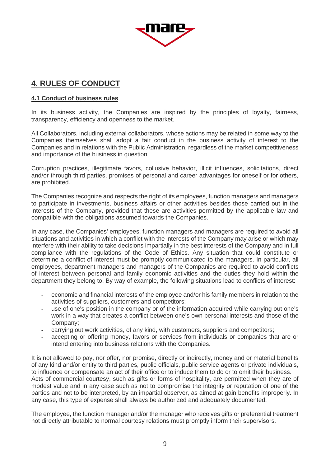

# **4. RULES OF CONDUCT**

# **4.1 Conduct of business rules**

In its business activity, the Companies are inspired by the principles of loyalty, fairness, transparency, efficiency and openness to the market.

All Collaborators, including external collaborators, whose actions may be related in some way to the Companies themselves shall adopt a fair conduct in the business activity of interest to the Companies and in relations with the Public Administration, regardless of the market competitiveness and importance of the business in question.

Corruption practices, illegitimate favors, collusive behavior, illicit influences, solicitations, direct and/or through third parties, promises of personal and career advantages for oneself or for others, are prohibited.

The Companies recognize and respects the right of its employees, function managers and managers to participate in investments, business affairs or other activities besides those carried out in the interests of the Company, provided that these are activities permitted by the applicable law and compatible with the obligations assumed towards the Companies.

In any case, the Companies' employees, function managers and managers are required to avoid all situations and activities in which a conflict with the interests of the Company may arise or which may interfere with their ability to take decisions impartially in the best interests of the Company and in full compliance with the regulations of the Code of Ethics. Any situation that could constitute or determine a conflict of interest must be promptly communicated to the managers. In particular, all employees, department managers and managers of the Companies are required to avoid conflicts of interest between personal and family economic activities and the duties they hold within the department they belong to. By way of example, the following situations lead to conflicts of interest:

- economic and financial interests of the employee and/or his family members in relation to the activities of suppliers, customers and competitors;
- use of one's position in the company or of the information acquired while carrying out one's work in a way that creates a conflict between one's own personal interests and those of the Company;
- carrying out work activities, of any kind, with customers, suppliers and competitors;
- accepting or offering money, favors or services from individuals or companies that are or intend entering into business relations with the Companies.

It is not allowed to pay, nor offer, nor promise, directly or indirectly, money and or material benefits of any kind and/or entity to third parties, public officials, public service agents or private individuals, to influence or compensate an act of their office or to induce them to do or to omit their business. Acts of commercial courtesy, such as gifts or forms of hospitality, are permitted when they are of modest value and in any case such as not to compromise the integrity or reputation of one of the parties and not to be interpreted, by an impartial observer, as aimed at gain benefits improperly. In any case, this type of expense shall always be authorized and adequately documented.

The employee, the function manager and/or the manager who receives gifts or preferential treatment not directly attributable to normal courtesy relations must promptly inform their supervisors.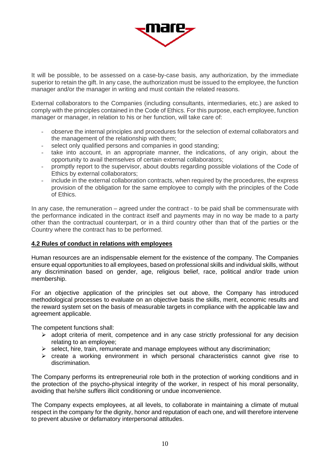

It will be possible, to be assessed on a case-by-case basis, any authorization, by the immediate superior to retain the gift. In any case, the authorization must be issued to the employee, the function manager and/or the manager in writing and must contain the related reasons.

External collaborators to the Companies (including consultants, intermediaries, etc.) are asked to comply with the principles contained in the Code of Ethics. For this purpose, each employee, function manager or manager, in relation to his or her function, will take care of:

- observe the internal principles and procedures for the selection of external collaborators and the management of the relationship with them;
- select only qualified persons and companies in good standing;
- take into account, in an appropriate manner, the indications, of any origin, about the opportunity to avail themselves of certain external collaborators;
- promptly report to the supervisor, about doubts regarding possible violations of the Code of Ethics by external collaborators;
- include in the external collaboration contracts, when required by the procedures, the express provision of the obligation for the same employee to comply with the principles of the Code of Ethics.

In any case, the remuneration – agreed under the contract - to be paid shall be commensurate with the performance indicated in the contract itself and payments may in no way be made to a party other than the contractual counterpart, or in a third country other than that of the parties or the Country where the contract has to be performed.

# **4.2 Rules of conduct in relations with employees**

Human resources are an indispensable element for the existence of the company. The Companies ensure equal opportunities to all employees, based on professional skills and individual skills, without any discrimination based on gender, age, religious belief, race, political and/or trade union membership.

For an objective application of the principles set out above, the Company has introduced methodological processes to evaluate on an objective basis the skills, merit, economic results and the reward system set on the basis of measurable targets in compliance with the applicable law and agreement applicable.

The competent functions shall:

- $\triangleright$  adopt criteria of merit, competence and in any case strictly professional for any decision relating to an employee;
- $\triangleright$  select, hire, train, remunerate and manage employees without any discrimination;
- $\triangleright$  create a working environment in which personal characteristics cannot give rise to discrimination.

The Company performs its entrepreneurial role both in the protection of working conditions and in the protection of the psycho-physical integrity of the worker, in respect of his moral personality, avoiding that he/she suffers illicit conditioning or undue inconvenience.

The Company expects employees, at all levels, to collaborate in maintaining a climate of mutual respect in the company for the dignity, honor and reputation of each one, and will therefore intervene to prevent abusive or defamatory interpersonal attitudes.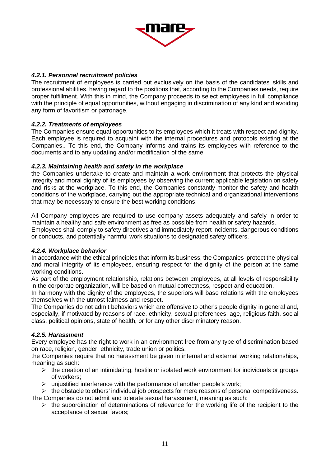

# *4.2.1. Personnel recruitment policies*

The recruitment of employees is carried out exclusively on the basis of the candidates' skills and professional abilities, having regard to the positions that, according to the Companies needs, require proper fulfillment. With this in mind, the Company proceeds to select employees in full compliance with the principle of equal opportunities, without engaging in discrimination of any kind and avoiding any form of favoritism or patronage.

# *4.2.2. Treatments of employees*

The Companies ensure equal opportunities to its employees which it treats with respect and dignity. Each employee is required to acquaint with the internal procedures and protocols existing at the Companies,. To this end, the Company informs and trains its employees with reference to the documents and to any updating and/or modification of the same.

# *4.2.3. Maintaining health and safety in the workplace*

the Companies undertake to create and maintain a work environment that protects the physical integrity and moral dignity of its employees by observing the current applicable legislation on safety and risks at the workplace. To this end, the Companies constantly monitor the safety and health conditions of the workplace, carrying out the appropriate technical and organizational interventions that may be necessary to ensure the best working conditions.

All Company employees are required to use company assets adequately and safely in order to maintain a healthy and safe environment as free as possible from health or safety hazards. Employees shall comply to safety directives and immediately report incidents, dangerous conditions or conducts, and potentially harmful work situations to designated safety officers.

# *4.2.4. Workplace behavior*

In accordance with the ethical principles that inform its business, the Companies protect the physical and moral integrity of its employees, ensuring respect for the dignity of the person at the same working conditions.

As part of the employment relationship, relations between employees, at all levels of responsibility in the corporate organization, will be based on mutual correctness, respect and education.

In harmony with the dignity of the employees, the superiors will base relations with the employees themselves with the utmost fairness and respect.

The Companies do not admit behaviors which are offensive to other's people dignity in general and, especially, if motivated by reasons of race, ethnicity, sexual preferences, age, religious faith, social class, political opinions, state of health, or for any other discriminatory reason.

# *4.2.5. Harassment*

Every employee has the right to work in an environment free from any type of discrimination based on race, religion, gender, ethnicity, trade union or politics.

the Companies require that no harassment be given in internal and external working relationships, meaning as such:

- $\triangleright$  the creation of an intimidating, hostile or isolated work environment for individuals or groups of workers;
- $\triangleright$  uniustified interference with the performance of another people's work;
- $\triangleright$  the obstacle to others' individual job prospects for mere reasons of personal competitiveness.

The Companies do not admit and tolerate sexual harassment, meaning as such:

 $\triangleright$  the subordination of determinations of relevance for the working life of the recipient to the acceptance of sexual favors;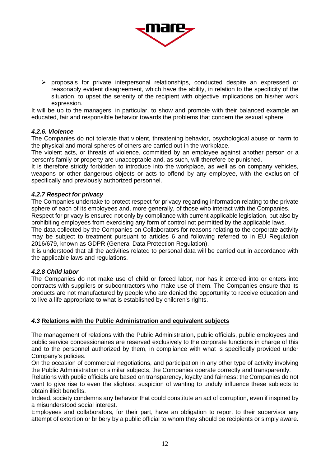

 $\triangleright$  proposals for private interpersonal relationships, conducted despite an expressed or reasonably evident disagreement, which have the ability, in relation to the specificity of the situation, to upset the serenity of the recipient with objective implications on his/her work expression.

It will be up to the managers, in particular, to show and promote with their balanced example an educated, fair and responsible behavior towards the problems that concern the sexual sphere.

# *4.2.6. Violence*

The Companies do not tolerate that violent, threatening behavior, psychological abuse or harm to the physical and moral spheres of others are carried out in the workplace.

The violent acts, or threats of violence, committed by an employee against another person or a person's family or property are unacceptable and, as such, will therefore be punished.

It is therefore strictly forbidden to introduce into the workplace, as well as on company vehicles, weapons or other dangerous objects or acts to offend by any employee, with the exclusion of specifically and previously authorized personnel.

#### *4.2.7 Respect for privacy*

The Companies undertake to protect respect for privacy regarding information relating to the private sphere of each of its employees and, more generally, of those who interact with the Companies.

Respect for privacy is ensured not only by compliance with current applicable legislation, but also by prohibiting employees from exercising any form of control not permitted by the applicable laws.

The data collected by the Companies on Collaborators for reasons relating to the corporate activity may be subject to treatment pursuant to articles 6 and following referred to in EU Regulation 2016/679, known as GDPR (General Data Protection Regulation).

It is understood that all the activities related to personal data will be carried out in accordance with the applicable laws and regulations.

#### *4.2.8 Child labor*

The Companies do not make use of child or forced labor, nor has it entered into or enters into contracts with suppliers or subcontractors who make use of them. The Companies ensure that its products are not manufactured by people who are denied the opportunity to receive education and to live a life appropriate to what is established by children's rights.

# *4.3* **Relations with the Public Administration and equivalent subjects**

The management of relations with the Public Administration, public officials, public employees and public service concessionaires are reserved exclusively to the corporate functions in charge of this and to the personnel authorized by them, in compliance with what is specifically provided under Company's policies.

On the occasion of commercial negotiations, and participation in any other type of activity involving the Public Administration or similar subjects, the Companies operate correctly and transparently.

Relations with public officials are based on transparency, loyalty and fairness: the Companies do not want to give rise to even the slightest suspicion of wanting to unduly influence these subjects to obtain illicit benefits.

Indeed, society condemns any behavior that could constitute an act of corruption, even if inspired by a misunderstood social interest.

Employees and collaborators, for their part, have an obligation to report to their supervisor any attempt of extortion or bribery by a public official to whom they should be recipients or simply aware.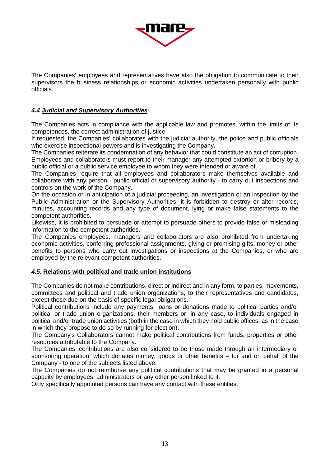

The Companies' employees and representatives have also the obligation to communicate to their supervisors the business relationships or economic activities undertaken personally with public officials.

# *4.4 Judicial and Supervisory Authorities*

The Companies acts in compliance with the applicable law and promotes, within the limits of its competences, the correct administration of justice.

If requested, the Companies' collaborates with the judicial authority, the police and public officials who exercise inspectional powers and is investigating the Company.

The Companies reiterate its condemnation of any behavior that could constitute an act of corruption. Employees and collaborators must report to their manager any attempted extortion or bribery by a public official or a public service employee to whom they were intended or aware of.

The Companies require that all employees and collaborators make themselves available and collaborate with any person - public official or supervisory authority - to carry out inspections and controls on the work of the Company.

On the occasion or in anticipation of a judicial proceeding, an investigation or an inspection by the Public Administration or the Supervisory Authorities, it is forbidden to destroy or alter records, minutes, accounting records and any type of document, lying or make false statements to the competent authorities.

Likewise, it is prohibited to persuade or attempt to persuade others to provide false or misleading information to the competent authorities.

The Companies employees, managers and collaborators are also prohibited from undertaking economic activities, conferring professional assignments, giving or promising gifts, money or other benefits to persons who carry out investigations or inspections at the Companies, or who are employed by the relevant competent authorities.

# *4.5.* **Relations with political and trade union institutions**

The Companies do not make contributions, direct or indirect and in any form, to parties, movements, committees and political and trade union organizations, to their representatives and candidates, except those due on the basis of specific legal obligations.

Political contributions include any payments, loans or donations made to political parties and/or political or trade union organizations, their members or, in any case, to individuals engaged in political and/or trade union activities (both in the case in which they hold public offices, as in the case in which they propose to do so by running for election).

The Company's Collaborators cannot make political contributions from funds, properties or other resources attributable to the Company.

The Companies' contributions are also considered to be those made through an intermediary or sponsoring operation, which donates money, goods or other benefits – for and on behalf of the Company - to one of the subjects listed above.

The Companies do not reimburse any political contributions that may be granted in a personal capacity by employees, administrators or any other person linked to it.

Only specifically appointed persons can have any contact with these entities.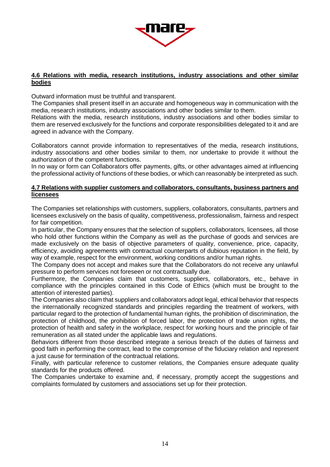

#### **4.6 Relations with media, research institutions, industry associations and other similar bodies**

Outward information must be truthful and transparent.

The Companies shall present itself in an accurate and homogeneous way in communication with the media, research institutions, industry associations and other bodies similar to them.

Relations with the media, research institutions, industry associations and other bodies similar to them are reserved exclusively for the functions and corporate responsibilities delegated to it and are agreed in advance with the Company.

Collaborators cannot provide information to representatives of the media, research institutions, industry associations and other bodies similar to them, nor undertake to provide it without the authorization of the competent functions.

In no way or form can Collaborators offer payments, gifts, or other advantages aimed at influencing the professional activity of functions of these bodies, or which can reasonably be interpreted as such.

#### **4.7 Relations with supplier customers and collaborators, consultants, business partners and licensees**

The Companies set relationships with customers, suppliers, collaborators, consultants, partners and licensees exclusively on the basis of quality, competitiveness, professionalism, fairness and respect for fair competition.

In particular, the Company ensures that the selection of suppliers, collaborators, licensees, all those who hold other functions within the Company as well as the purchase of goods and services are made exclusively on the basis of objective parameters of quality, convenience, price, capacity, efficiency, avoiding agreements with contractual counterparts of dubious reputation in the field, by way of example, respect for the environment, working conditions and/or human rights.

The Company does not accept and makes sure that the Collaborators do not receive any unlawful pressure to perform services not foreseen or not contractually due.

Furthermore, the Companies claim that customers, suppliers, collaborators, etc., behave in compliance with the principles contained in this Code of Ethics (which must be brought to the attention of interested parties).

The Companies also claim that suppliers and collaborators adopt legal, ethical behavior that respects the internationally recognized standards and principles regarding the treatment of workers, with particular regard to the protection of fundamental human rights, the prohibition of discrimination, the protection of childhood, the prohibition of forced labor, the protection of trade union rights, the protection of health and safety in the workplace, respect for working hours and the principle of fair remuneration as all stated under the applicable laws and regulations.

Behaviors different from those described integrate a serious breach of the duties of fairness and good faith in performing the contract, lead to the compromise of the fiduciary relation and represent a just cause for termination of the contractual relations.

Finally, with particular reference to customer relations, the Companies ensure adequate quality standards for the products offered.

The Companies undertake to examine and, if necessary, promptly accept the suggestions and complaints formulated by customers and associations set up for their protection.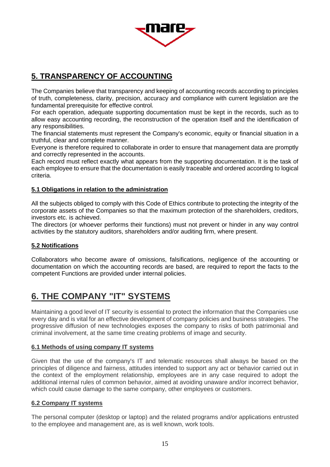

# **5. TRANSPARENCY OF ACCOUNTING**

The Companies believe that transparency and keeping of accounting records according to principles of truth, completeness, clarity, precision, accuracy and compliance with current legislation are the fundamental prerequisite for effective control.

For each operation, adequate supporting documentation must be kept in the records, such as to allow easy accounting recording, the reconstruction of the operation itself and the identification of any responsibilities.

The financial statements must represent the Company's economic, equity or financial situation in a truthful, clear and complete manner.

Everyone is therefore required to collaborate in order to ensure that management data are promptly and correctly represented in the accounts.

Each record must reflect exactly what appears from the supporting documentation. It is the task of each employee to ensure that the documentation is easily traceable and ordered according to logical criteria.

# **5.1 Obligations in relation to the administration**

All the subjects obliged to comply with this Code of Ethics contribute to protecting the integrity of the corporate assets of the Companies so that the maximum protection of the shareholders, creditors, investors etc. is achieved.

The directors (or whoever performs their functions) must not prevent or hinder in any way control activities by the statutory auditors, shareholders and/or auditing firm, where present.

# **5.2 Notifications**

Collaborators who become aware of omissions, falsifications, negligence of the accounting or documentation on which the accounting records are based, are required to report the facts to the competent Functions are provided under internal policies.

# **6. THE COMPANY "IT" SYSTEMS**

Maintaining a good level of IT security is essential to protect the information that the Companies use every day and is vital for an effective development of company policies and business strategies. The progressive diffusion of new technologies exposes the company to risks of both patrimonial and criminal involvement, at the same time creating problems of image and security.

# **6.1 Methods of using company IT systems**

Given that the use of the company's IT and telematic resources shall always be based on the principles of diligence and fairness, attitudes intended to support any act or behavior carried out in the context of the employment relationship, employees are in any case required to adopt the additional internal rules of common behavior, aimed at avoiding unaware and/or incorrect behavior, which could cause damage to the same company, other employees or customers.

# **6.2 Company IT systems**

The personal computer (desktop or laptop) and the related programs and/or applications entrusted to the employee and management are, as is well known, work tools.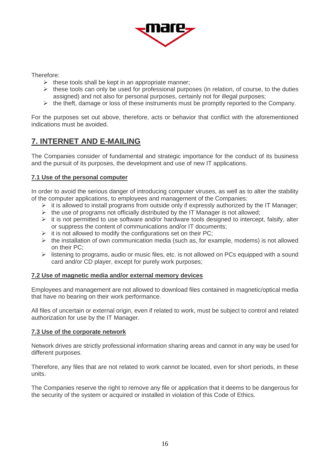

Therefore:

- $\triangleright$  these tools shall be kept in an appropriate manner;
- $\triangleright$  these tools can only be used for professional purposes (in relation, of course, to the duties assigned) and not also for personal purposes, certainly not for illegal purposes;
- $\triangleright$  the theft, damage or loss of these instruments must be promptly reported to the Company.

For the purposes set out above, therefore, acts or behavior that conflict with the aforementioned indications must be avoided.

# **7. INTERNET AND E-MAILING**

The Companies consider of fundamental and strategic importance for the conduct of its business and the pursuit of its purposes, the development and use of new IT applications.

# **7.1 Use of the personal computer**

In order to avoid the serious danger of introducing computer viruses, as well as to alter the stability of the computer applications, to employees and management of the Companies:

- $\triangleright$  it is allowed to install programs from outside only if expressly authorized by the IT Manager;
- $\triangleright$  the use of programs not officially distributed by the IT Manager is not allowed;
- $\triangleright$  it is not permitted to use software and/or hardware tools designed to intercept, falsify, alter or suppress the content of communications and/or IT documents;
- $\triangleright$  it is not allowed to modify the configurations set on their PC;
- $\triangleright$  the installation of own communication media (such as, for example, modems) is not allowed on their PC;
- $\triangleright$  listening to programs, audio or music files, etc. is not allowed on PCs equipped with a sound card and/or CD player, except for purely work purposes;

# **7.2 Use of magnetic media and/or external memory devices**

Employees and management are not allowed to download files contained in magnetic/optical media that have no bearing on their work performance.

All files of uncertain or external origin, even if related to work, must be subject to control and related authorization for use by the IT Manager.

# **7.3 Use of the corporate network**

Network drives are strictly professional information sharing areas and cannot in any way be used for different purposes.

Therefore, any files that are not related to work cannot be located, even for short periods, in these units.

The Companies reserve the right to remove any file or application that it deems to be dangerous for the security of the system or acquired or installed in violation of this Code of Ethics.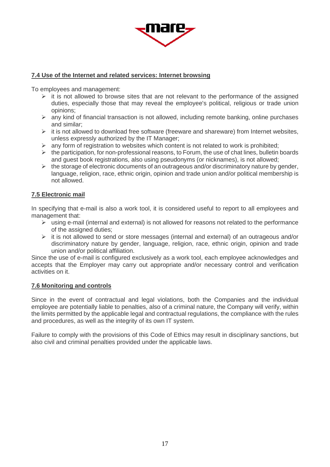

# **7.4 Use of the Internet and related services: Internet browsing**

To employees and management:

- $\triangleright$  it is not allowed to browse sites that are not relevant to the performance of the assigned duties, especially those that may reveal the employee's political, religious or trade union opinions;
- $\triangleright$  any kind of financial transaction is not allowed, including remote banking, online purchases and similar;
- $\triangleright$  it is not allowed to download free software (freeware and shareware) from Internet websites, unless expressly authorized by the IT Manager;
- $\triangleright$  any form of registration to websites which content is not related to work is prohibited;
- $\triangleright$  the participation, for non-professional reasons, to Forum, the use of chat lines, bulletin boards and guest book registrations, also using pseudonyms (or nicknames), is not allowed;
- $\triangleright$  the storage of electronic documents of an outrageous and/or discriminatory nature by gender, language, religion, race, ethnic origin, opinion and trade union and/or political membership is not allowed.

#### **7.5 Electronic mail**

In specifying that e-mail is also a work tool, it is considered useful to report to all employees and management that:

- $\triangleright$  using e-mail (internal and external) is not allowed for reasons not related to the performance of the assigned duties;
- $\triangleright$  it is not allowed to send or store messages (internal and external) of an outrageous and/or discriminatory nature by gender, language, religion, race, ethnic origin, opinion and trade union and/or political affiliation.

Since the use of e-mail is configured exclusively as a work tool, each employee acknowledges and accepts that the Employer may carry out appropriate and/or necessary control and verification activities on it.

#### **7.6 Monitoring and controls**

Since in the event of contractual and legal violations, both the Companies and the individual employee are potentially liable to penalties, also of a criminal nature, the Company will verify, within the limits permitted by the applicable legal and contractual regulations, the compliance with the rules and procedures, as well as the integrity of its own IT system.

Failure to comply with the provisions of this Code of Ethics may result in disciplinary sanctions, but also civil and criminal penalties provided under the applicable laws.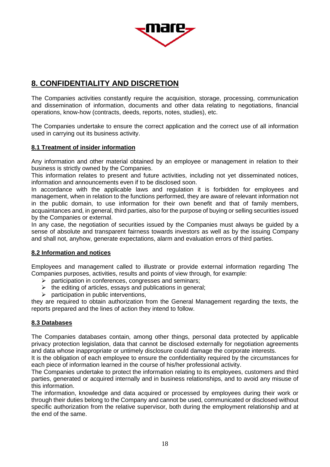

# **8. CONFIDENTIALITY AND DISCRETION**

The Companies activities constantly require the acquisition, storage, processing, communication and dissemination of information, documents and other data relating to negotiations, financial operations, know-how (contracts, deeds, reports, notes, studies), etc.

The Companies undertake to ensure the correct application and the correct use of all information used in carrying out its business activity.

# **8.1 Treatment of insider information**

Any information and other material obtained by an employee or management in relation to their business is strictly owned by the Companies.

This information relates to present and future activities, including not yet disseminated notices, information and announcements even if to be disclosed soon.

In accordance with the applicable laws and regulation it is forbidden for employees and management, when in relation to the functions performed, they are aware of relevant information not in the public domain, to use information for their own benefit and that of family members, acquaintances and, in general, third parties, also for the purpose of buying or selling securities issued by the Companies or external.

In any case, the negotiation of securities issued by the Companies must always be guided by a sense of absolute and transparent fairness towards investors as well as by the issuing Company and shall not, anyhow, generate expectations, alarm and evaluation errors of third parties.

# **8.2 Information and notices**

Employees and management called to illustrate or provide external information regarding The Companies purposes, activities, results and points of view through, for example:

- $\triangleright$  participation in conferences, congresses and seminars;
- $\triangleright$  the editing of articles, essays and publications in general;
- $\triangleright$  participation in public interventions,

they are required to obtain authorization from the General Management regarding the texts, the reports prepared and the lines of action they intend to follow.

# **8.3 Databases**

The Companies databases contain, among other things, personal data protected by applicable privacy protection legislation, data that cannot be disclosed externally for negotiation agreements and data whose inappropriate or untimely disclosure could damage the corporate interests.

It is the obligation of each employee to ensure the confidentiality required by the circumstances for each piece of information learned in the course of his/her professional activity.

The Companies undertake to protect the information relating to its employees, customers and third parties, generated or acquired internally and in business relationships, and to avoid any misuse of this information.

The information, knowledge and data acquired or processed by employees during their work or through their duties belong to the Company and cannot be used, communicated or disclosed without specific authorization from the relative supervisor, both during the employment relationship and at the end of the same.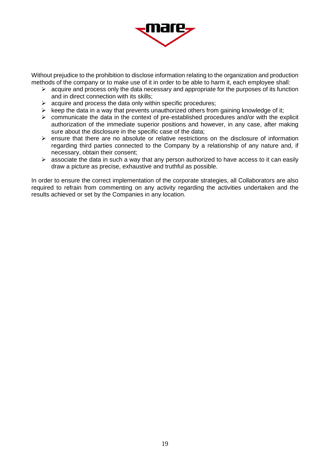

Without prejudice to the prohibition to disclose information relating to the organization and production methods of the company or to make use of it in order to be able to harm it, each employee shall:

- $\triangleright$  acquire and process only the data necessary and appropriate for the purposes of its function and in direct connection with its skills;
- $\triangleright$  acquire and process the data only within specific procedures;
- $\triangleright$  keep the data in a way that prevents unauthorized others from gaining knowledge of it;
- $\triangleright$  communicate the data in the context of pre-established procedures and/or with the explicit authorization of the immediate superior positions and however, in any case, after making sure about the disclosure in the specific case of the data;
- $\triangleright$  ensure that there are no absolute or relative restrictions on the disclosure of information regarding third parties connected to the Company by a relationship of any nature and, if necessary, obtain their consent;
- $\triangleright$  associate the data in such a way that any person authorized to have access to it can easily draw a picture as precise, exhaustive and truthful as possible.

In order to ensure the correct implementation of the corporate strategies, all Collaborators are also required to refrain from commenting on any activity regarding the activities undertaken and the results achieved or set by the Companies in any location.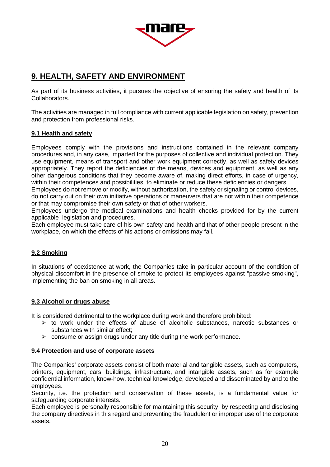

# **9. HEALTH, SAFETY AND ENVIRONMENT**

As part of its business activities, it pursues the objective of ensuring the safety and health of its Collaborators.

The activities are managed in full compliance with current applicable legislation on safety, prevention and protection from professional risks.

# **9.1 Health and safety**

Employees comply with the provisions and instructions contained in the relevant company procedures and, in any case, imparted for the purposes of collective and individual protection. They use equipment, means of transport and other work equipment correctly, as well as safety devices appropriately. They report the deficiencies of the means, devices and equipment, as well as any other dangerous conditions that they become aware of, making direct efforts, in case of urgency, within their competences and possibilities, to eliminate or reduce these deficiencies or dangers.

Employees do not remove or modify, without authorization, the safety or signaling or control devices, do not carry out on their own initiative operations or maneuvers that are not within their competence or that may compromise their own safety or that of other workers.

Employees undergo the medical examinations and health checks provided for by the current applicable legislation and procedures.

Each employee must take care of his own safety and health and that of other people present in the workplace, on which the effects of his actions or omissions may fall.

# **9.2 Smoking**

In situations of coexistence at work, the Companies take in particular account of the condition of physical discomfort in the presence of smoke to protect its employees against "passive smoking", implementing the ban on smoking in all areas.

# **9.3 Alcohol or drugs abuse**

It is considered detrimental to the workplace during work and therefore prohibited:

- $\triangleright$  to work under the effects of abuse of alcoholic substances, narcotic substances or substances with similar effect;
- $\triangleright$  consume or assign drugs under any title during the work performance.

#### **9.4 Protection and use of corporate assets**

The Companies' corporate assets consist of both material and tangible assets, such as computers, printers, equipment, cars, buildings, infrastructure, and intangible assets, such as for example confidential information, know-how, technical knowledge, developed and disseminated by and to the employees.

Security, i.e. the protection and conservation of these assets, is a fundamental value for safeguarding corporate interests.

Each employee is personally responsible for maintaining this security, by respecting and disclosing the company directives in this regard and preventing the fraudulent or improper use of the corporate assets.